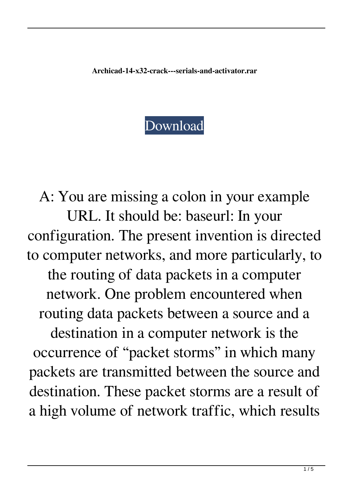**Archicad-14-x32-crack---serials-and-activator.rar**



A: You are missing a colon in your example URL. It should be: baseurl: In your configuration. The present invention is directed to computer networks, and more particularly, to the routing of data packets in a computer network. One problem encountered when routing data packets between a source and a destination in a computer network is the occurrence of "packet storms" in which many packets are transmitted between the source and destination. These packet storms are a result of a high volume of network traffic, which results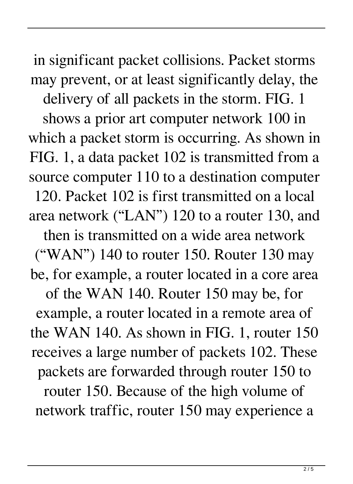in significant packet collisions. Packet storms may prevent, or at least significantly delay, the

delivery of all packets in the storm. FIG. 1

shows a prior art computer network 100 in which a packet storm is occurring. As shown in FIG. 1, a data packet 102 is transmitted from a source computer 110 to a destination computer 120. Packet 102 is first transmitted on a local area network ("LAN") 120 to a router 130, and then is transmitted on a wide area network ("WAN") 140 to router 150. Router 130 may be, for example, a router located in a core area of the WAN 140. Router 150 may be, for example, a router located in a remote area of the WAN 140. As shown in FIG. 1, router 150 receives a large number of packets 102. These packets are forwarded through router 150 to router 150. Because of the high volume of network traffic, router 150 may experience a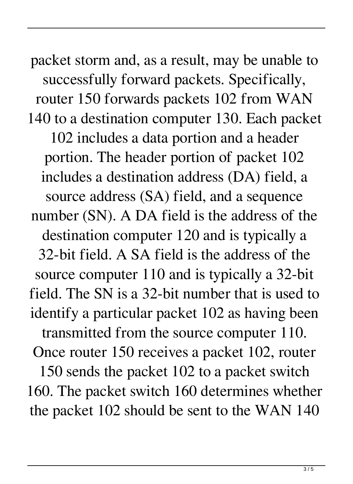packet storm and, as a result, may be unable to successfully forward packets. Specifically, router 150 forwards packets 102 from WAN 140 to a destination computer 130. Each packet 102 includes a data portion and a header portion. The header portion of packet 102 includes a destination address (DA) field, a source address (SA) field, and a sequence number (SN). A DA field is the address of the destination computer 120 and is typically a 32-bit field. A SA field is the address of the source computer 110 and is typically a 32-bit field. The SN is a 32-bit number that is used to identify a particular packet 102 as having been transmitted from the source computer 110. Once router 150 receives a packet 102, router 150 sends the packet 102 to a packet switch 160. The packet switch 160 determines whether the packet 102 should be sent to the WAN 140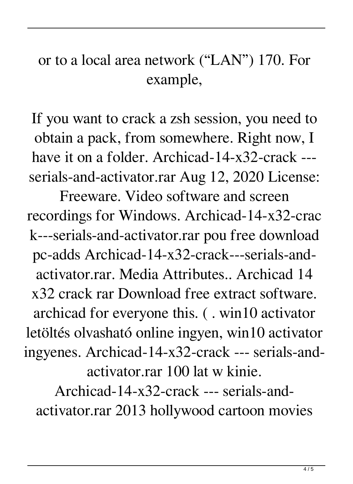## or to a local area network ("LAN") 170. For example,

If you want to crack a zsh session, you need to obtain a pack, from somewhere. Right now, I have it on a folder. Archicad-14-x32-crack -- serials-and-activator.rar Aug 12, 2020 License:

Freeware. Video software and screen recordings for Windows. Archicad-14-x32-crac k---serials-and-activator.rar pou free download pc-adds Archicad-14-x32-crack---serials-andactivator.rar. Media Attributes.. Archicad 14 x32 crack rar Download free extract software. archicad for everyone this. ( . win10 activator letöltés olvasható online ingyen, win10 activator ingyenes. Archicad-14-x32-crack --- serials-andactivator.rar 100 lat w kinie.

Archicad-14-x32-crack --- serials-andactivator.rar 2013 hollywood cartoon movies